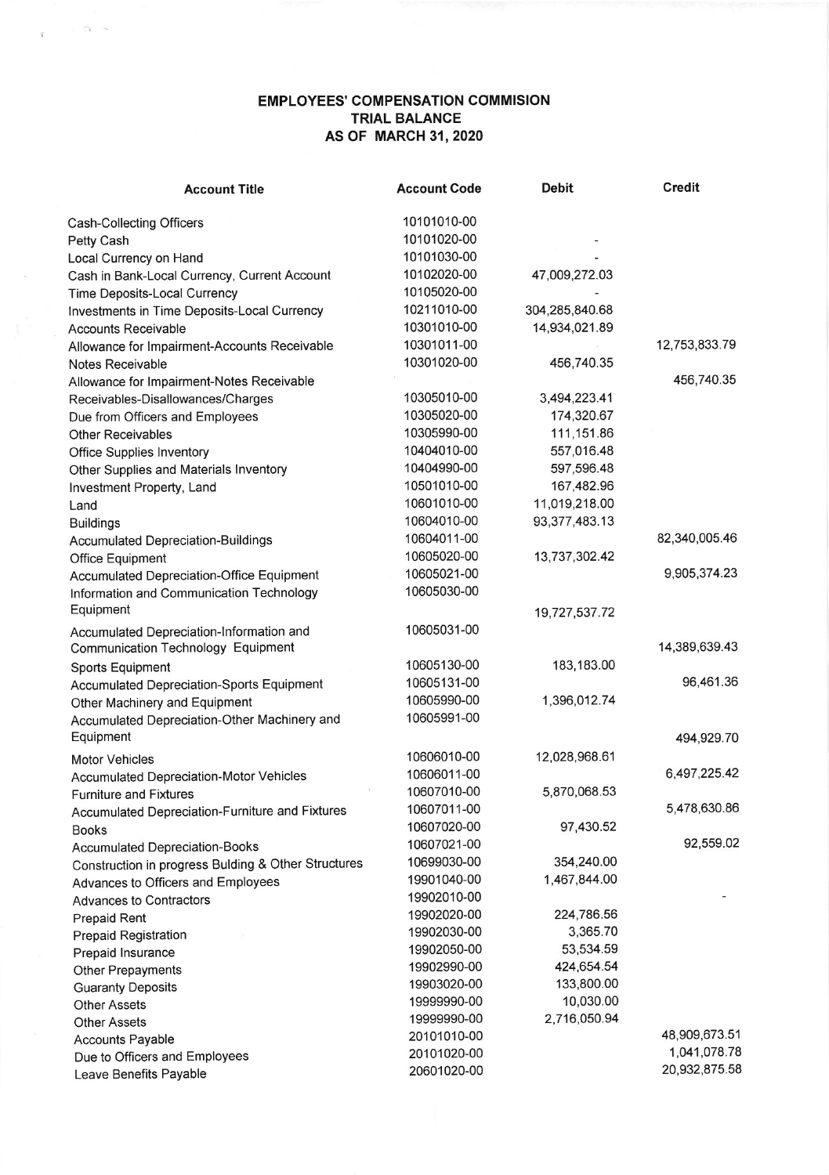## EMPLOYEES' COMPENSATION COMMISION TRIAL BALANCE AS OF MARCH 31, 2020

 $\sim 20$   $\sim$ 

 $\tilde{X}$ 

| <b>Account Title</b>                                                 | <b>Account Code</b> | <b>Debit</b>     | <b>Credit</b> |
|----------------------------------------------------------------------|---------------------|------------------|---------------|
| Cash-Collecting Officers                                             | 10101010-00         |                  |               |
| Petty Cash                                                           | 10101020-00         |                  |               |
| Local Currency on Hand                                               | 10101030-00         |                  |               |
| Cash in Bank-Local Currency, Current Account                         | 10102020-00         | 47,009,272.03    |               |
| Time Deposits-Local Currency                                         | 10105020-00         |                  |               |
| Investments in Time Deposits-Local Currency                          | 10211010-00         | 304,285,840.68   |               |
| <b>Accounts Receivable</b>                                           | 10301010-00         | 14,934,021.89    |               |
| Allowance for Impairment-Accounts Receivable                         | 10301011-00         |                  | 12,753,833.79 |
| Notes Receivable                                                     | 10301020-00         | 456,740.35       |               |
| Allowance for Impairment-Notes Receivable                            |                     |                  | 456,740.35    |
| Receivables-Disallowances/Charges                                    | 10305010-00         | 3,494,223.41     |               |
| Due from Officers and Employees                                      | 10305020-00         | 174,320.67       |               |
| <b>Other Receivables</b>                                             | 10305990-00         | 111,151.86       |               |
| <b>Office Supplies Inventory</b>                                     | 10404010-00         | 557,016.48       |               |
| Other Supplies and Materials Inventory                               | 10404990-00         | 597,596.48       |               |
| Investment Property, Land                                            | 10501010-00         | 167,482.96       |               |
| Land                                                                 | 10601010-00         | 11,019,218.00    |               |
| <b>Buildings</b>                                                     | 10604010-00         | 93, 377, 483. 13 |               |
| <b>Accumulated Depreciation-Buildings</b>                            | 10604011-00         |                  | 82,340,005.46 |
|                                                                      | 10605020-00         | 13,737,302.42    |               |
| Office Equipment<br><b>Accumulated Depreciation-Office Equipment</b> | 10605021-00         |                  | 9,905,374.23  |
| Information and Communication Technology                             | 10605030-00         |                  |               |
| Equipment                                                            |                     |                  |               |
|                                                                      |                     | 19,727,537.72    |               |
| Accumulated Depreciation-Information and                             | 10605031-00         |                  |               |
| Communication Technology Equipment                                   |                     |                  | 14,389,639.43 |
| Sports Equipment                                                     | 10605130-00         | 183,183.00       |               |
| Accumulated Depreciation-Sports Equipment                            | 10605131-00         |                  | 96,461.36     |
| Other Machinery and Equipment                                        | 10605990-00         | 1,396,012.74     |               |
| Accumulated Depreciation-Other Machinery and                         | 10605991-00         |                  |               |
| Equipment                                                            |                     |                  | 494,929.70    |
| <b>Motor Vehicles</b>                                                | 10606010-00         | 12,028,968.61    |               |
| <b>Accumulated Depreciation-Motor Vehicles</b>                       | 10606011-00         |                  | 6,497,225.42  |
| <b>Furniture and Fixtures</b>                                        | 10607010-00         | 5,870,068.53     |               |
| Accumulated Depreciation-Furniture and Fixtures                      | 10607011-00         |                  | 5,478,630.86  |
| <b>Books</b>                                                         | 10607020-00         | 97,430.52        |               |
| <b>Accumulated Depreciation-Books</b>                                | 10607021-00         |                  | 92,559.02     |
| Construction in progress Bulding & Other Structures                  | 10699030-00         | 354,240.00       |               |
| Advances to Officers and Employees                                   | 19901040-00         | 1,467,844.00     |               |
| <b>Advances to Contractors</b>                                       | 19902010-00         |                  |               |
| Prepaid Rent                                                         | 19902020-00         | 224,786.56       |               |
| <b>Prepaid Registration</b>                                          | 19902030-00         | 3,365.70         |               |
| Prepaid Insurance                                                    | 19902050-00         | 53,534.59        |               |
| Other Prepayments                                                    | 19902990-00         | 424,654.54       |               |
| <b>Guaranty Deposits</b>                                             | 19903020-00         | 133,800.00       |               |
| <b>Other Assets</b>                                                  | 19999990-00         | 10,030.00        |               |
| <b>Other Assets</b>                                                  | 19999990-00         | 2,716,050.94     |               |
| <b>Accounts Payable</b>                                              | 20101010-00         |                  | 48,909,673.51 |
| Due to Officers and Employees                                        | 20101020-00         |                  | 1,041,078.78  |
| Leave Benefits Payable                                               | 20601020-00         |                  | 20,932,875.58 |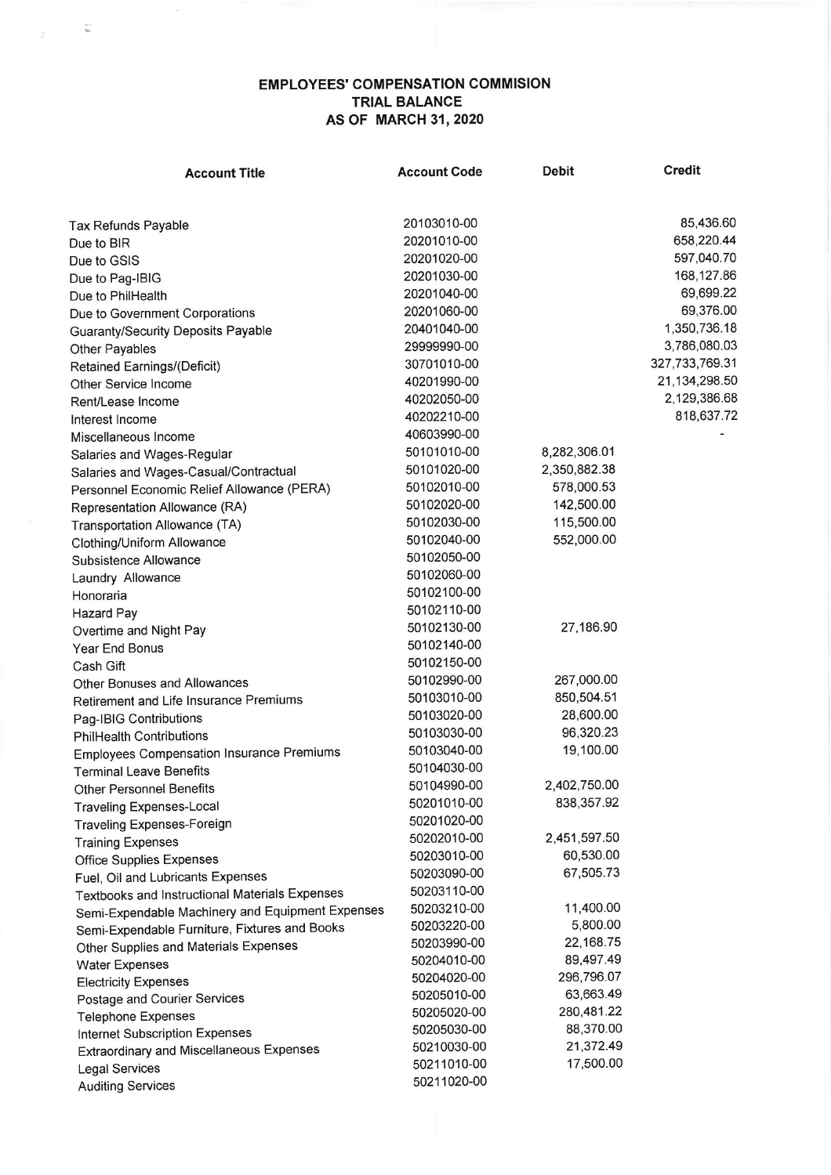## **EMPLOYEES' COMPENSATION COMMISION TRIAL BALANCE AS OF MARCH 31, 2020**

 $\sim$   $\sqrt{\omega}$ 

| <b>Account Title</b>                             | <b>Account Code</b> | <b>Debit</b> | <b>Credit</b>  |
|--------------------------------------------------|---------------------|--------------|----------------|
|                                                  |                     |              |                |
| Tax Refunds Payable                              | 20103010-00         |              | 85,436.60      |
| Due to BIR                                       | 20201010-00         |              | 658,220.44     |
| Due to GSIS                                      | 20201020-00         |              | 597,040.70     |
| Due to Pag-IBIG                                  | 20201030-00         |              | 168,127.86     |
| Due to PhilHealth                                | 20201040-00         |              | 69,699.22      |
| Due to Government Corporations                   | 20201060-00         |              | 69,376.00      |
| <b>Guaranty/Security Deposits Payable</b>        | 20401040-00         |              | 1,350,736.18   |
| Other Payables                                   | 29999990-00         |              | 3,786,080.03   |
| Retained Earnings/(Deficit)                      | 30701010-00         |              | 327,733,769.31 |
| Other Service Income                             | 40201990-00         |              | 21,134,298.50  |
| Rent/Lease Income                                | 40202050-00         |              | 2,129,386.68   |
| Interest Income                                  | 40202210-00         |              | 818,637.72     |
| Miscellaneous Income                             | 40603990-00         |              |                |
| Salaries and Wages-Regular                       | 50101010-00         | 8,282,306.01 |                |
| Salaries and Wages-Casual/Contractual            | 50101020-00         | 2,350,882.38 |                |
| Personnel Economic Relief Allowance (PERA)       | 50102010-00         | 578,000.53   |                |
| Representation Allowance (RA)                    | 50102020-00         | 142,500.00   |                |
| Transportation Allowance (TA)                    | 50102030-00         | 115,500.00   |                |
| Clothing/Uniform Allowance                       | 50102040-00         | 552,000.00   |                |
| Subsistence Allowance                            | 50102050-00         |              |                |
| Laundry Allowance                                | 50102060-00         |              |                |
| Honoraria                                        | 50102100-00         |              |                |
| <b>Hazard Pay</b>                                | 50102110-00         |              |                |
| Overtime and Night Pay                           | 50102130-00         | 27,186.90    |                |
| Year End Bonus                                   | 50102140-00         |              |                |
| Cash Gift                                        | 50102150-00         |              |                |
| Other Bonuses and Allowances                     | 50102990-00         | 267,000.00   |                |
| Retirement and Life Insurance Premiums           | 50103010-00         | 850,504.51   |                |
| Pag-IBIG Contributions                           | 50103020-00         | 28,600.00    |                |
| <b>PhilHealth Contributions</b>                  | 50103030-00         | 96,320.23    |                |
| <b>Employees Compensation Insurance Premiums</b> | 50103040-00         | 19,100.00    |                |
| <b>Terminal Leave Benefits</b>                   | 50104030-00         |              |                |
|                                                  | 50104990-00         | 2,402,750.00 |                |
| <b>Other Personnel Benefits</b>                  | 50201010-00         | 838,357.92   |                |
| <b>Traveling Expenses-Local</b>                  | 50201020-00         |              |                |
| <b>Traveling Expenses-Foreign</b>                | 50202010-00         | 2,451,597.50 |                |
| <b>Training Expenses</b>                         | 50203010-00         | 60,530.00    |                |
| <b>Office Supplies Expenses</b>                  | 50203090-00         | 67,505.73    |                |
| Fuel, Oil and Lubricants Expenses                | 50203110-00         |              |                |
| Textbooks and Instructional Materials Expenses   | 50203210-00         | 11,400.00    |                |
| Semi-Expendable Machinery and Equipment Expenses | 50203220-00         | 5,800.00     |                |
| Semi-Expendable Furniture, Fixtures and Books    | 50203990-00         | 22,168.75    |                |
| Other Supplies and Materials Expenses            | 50204010-00         | 89,497.49    |                |
| <b>Water Expenses</b>                            | 50204020-00         | 296,796.07   |                |
| <b>Electricity Expenses</b>                      | 50205010-00         | 63,663.49    |                |
| Postage and Courier Services                     | 50205020-00         | 280,481.22   |                |
| <b>Telephone Expenses</b>                        | 50205030-00         | 88,370.00    |                |
| Internet Subscription Expenses                   | 50210030-00         | 21,372.49    |                |
| Extraordinary and Miscellaneous Expenses         | 50211010-00         | 17,500.00    |                |
| <b>Legal Services</b>                            | 50211020-00         |              |                |
| <b>Auditing Services</b>                         |                     |              |                |